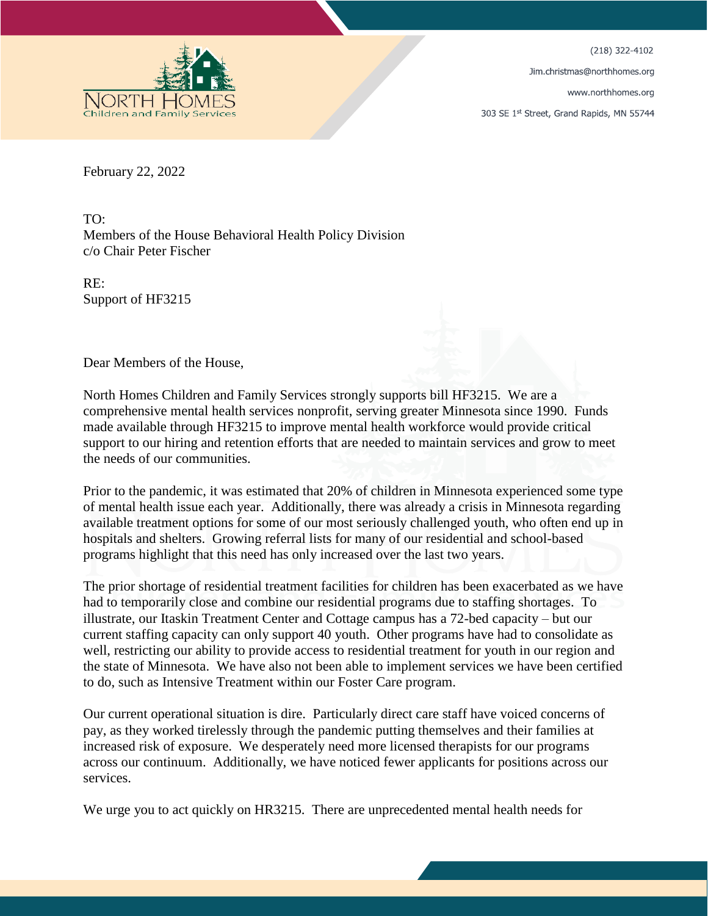(218) 322-4102

Jim.christmas@northhomes.org

www.northhomes.org

303 SE 1st Street, Grand Rapids, MN 55744



February 22, 2022

TO: Members of the House Behavioral Health Policy Division c/o Chair Peter Fischer

RE: Support of HF3215

Dear Members of the House,

North Homes Children and Family Services strongly supports bill HF3215. We are a comprehensive mental health services nonprofit, serving greater Minnesota since 1990. Funds made available through HF3215 to improve mental health workforce would provide critical support to our hiring and retention efforts that are needed to maintain services and grow to meet the needs of our communities.

Prior to the pandemic, it was estimated that 20% of children in Minnesota experienced some type of mental health issue each year. Additionally, there was already a crisis in Minnesota regarding available treatment options for some of our most seriously challenged youth, who often end up in hospitals and shelters. Growing referral lists for many of our residential and school-based programs highlight that this need has only increased over the last two years.

The prior shortage of residential treatment facilities for children has been exacerbated as we have had to temporarily close and combine our residential programs due to staffing shortages. To illustrate, our Itaskin Treatment Center and Cottage campus has a 72-bed capacity – but our current staffing capacity can only support 40 youth. Other programs have had to consolidate as well, restricting our ability to provide access to residential treatment for youth in our region and the state of Minnesota. We have also not been able to implement services we have been certified to do, such as Intensive Treatment within our Foster Care program.

Our current operational situation is dire. Particularly direct care staff have voiced concerns of pay, as they worked tirelessly through the pandemic putting themselves and their families at increased risk of exposure. We desperately need more licensed therapists for our programs across our continuum. Additionally, we have noticed fewer applicants for positions across our services.

We urge you to act quickly on HR3215. There are unprecedented mental health needs for